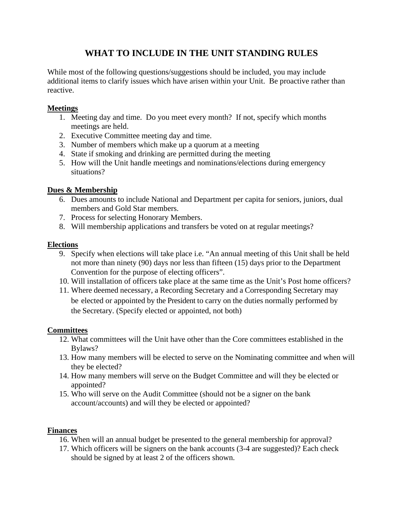# **WHAT TO INCLUDE IN THE UNIT STANDING RULES**

While most of the following questions/suggestions should be included, you may include additional items to clarify issues which have arisen within your Unit. Be proactive rather than reactive.

# **Meetings**

- 1. Meeting day and time. Do you meet every month? If not, specify which months meetings are held.
- 2. Executive Committee meeting day and time.
- 3. Number of members which make up a quorum at a meeting
- 4. State if smoking and drinking are permitted during the meeting
- 5. How will the Unit handle meetings and nominations/elections during emergency situations?

# **Dues & Membership**

- 6. Dues amounts to include National and Department per capita for seniors, juniors, dual members and Gold Star members.
- 7. Process for selecting Honorary Members.
- 8. Will membership applications and transfers be voted on at regular meetings?

# **Elections**

- 9. Specify when elections will take place i.e. "An annual meeting of this Unit shall be held not more than ninety (90) days nor less than fifteen (15) days prior to the Department Convention for the purpose of electing officers".
- 10. Will installation of officers take place at the same time as the Unit's Post home officers?
- 11. Where deemed necessary, a Recording Secretary and a Corresponding Secretary may be elected or appointed by the President to carry on the duties normally performed by the Secretary. (Specify elected or appointed, not both)

## **Committees**

- 12. What committees will the Unit have other than the Core committees established in the Bylaws?
- 13. How many members will be elected to serve on the Nominating committee and when will they be elected?
- 14. How many members will serve on the Budget Committee and will they be elected or appointed?
- 15. Who will serve on the Audit Committee (should not be a signer on the bank account/accounts) and will they be elected or appointed?

## **Finances**

- 16. When will an annual budget be presented to the general membership for approval?
- 17. Which officers will be signers on the bank accounts (3-4 are suggested)? Each check should be signed by at least 2 of the officers shown.